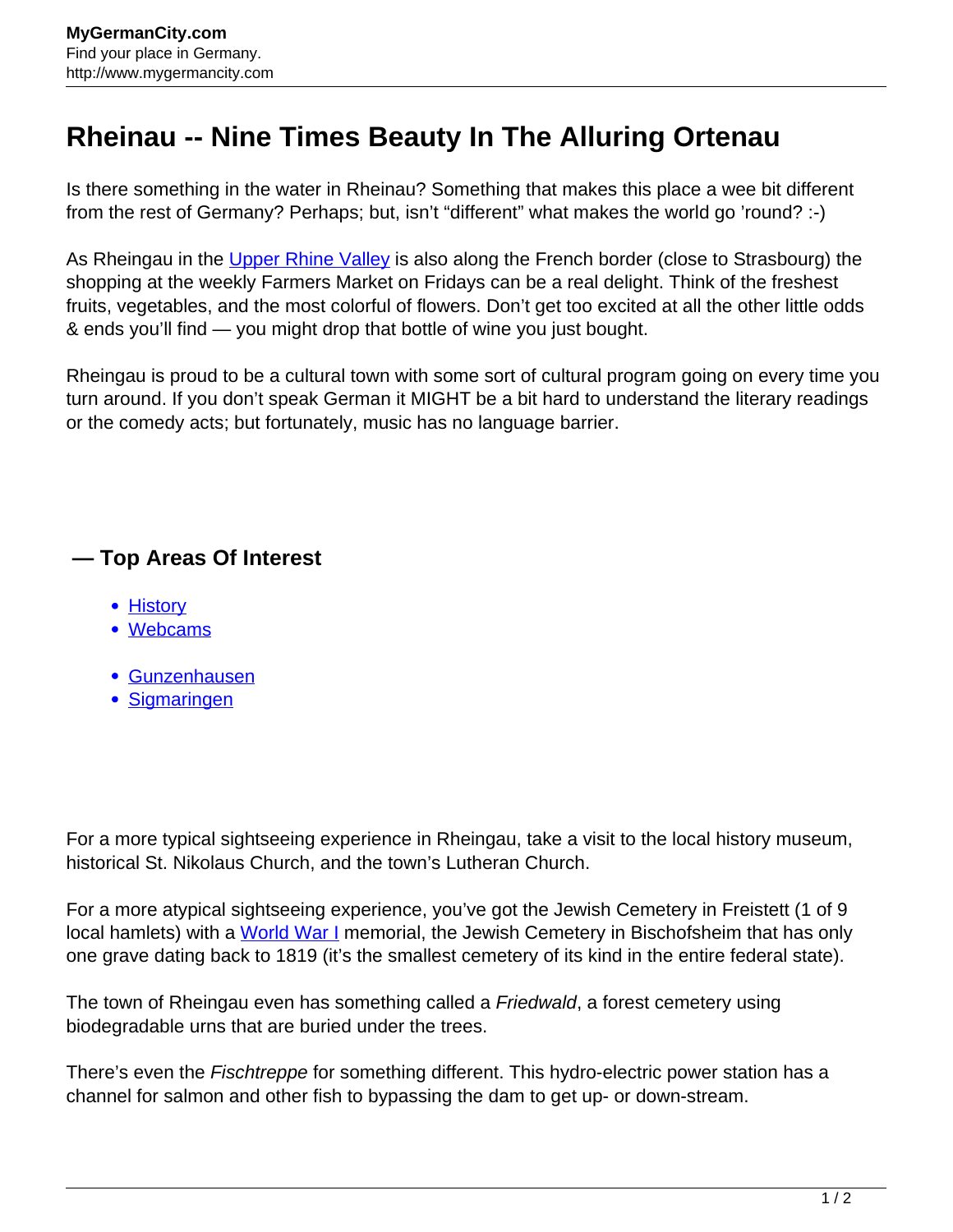## **Rheinau -- Nine Times Beauty In The Alluring Ortenau**

Is there something in the water in Rheinau? Something that makes this place a wee bit different from the rest of Germany? Perhaps; but, isn't "different" what makes the world go 'round? :-)

As Rheingau in the [Upper Rhine Valley](http://www.mygermancity.com/upper-rhine-valley) is also along the French border (close to Strasbourg) the shopping at the weekly Farmers Market on Fridays can be a real delight. Think of the freshest fruits, vegetables, and the most colorful of flowers. Don't get too excited at all the other little odds & ends you'll find — you might drop that bottle of wine you just bought.

Rheingau is proud to be a cultural town with some sort of cultural program going on every time you turn around. If you don't speak German it MIGHT be a bit hard to understand the literary readings or the comedy acts; but fortunately, music has no language barrier.

## **— Top Areas Of Interest**

- **[History](http://www.mygermancity.com/leipzig-history)**
- [Webcams](http://www.mygermancity.com/neustadt-holstein-webcams)
- [Gunzenhausen](http://www.mygermancity.com/gunzenhausen)
- [Sigmaringen](http://www.mygermancity.com/sigmaringen)

For a more typical sightseeing experience in Rheingau, take a visit to the local history museum, historical St. Nikolaus Church, and the town's Lutheran Church.

For a more atypical sightseeing experience, you've got the Jewish Cemetery in Freistett (1 of 9 local hamlets) with a [World War I](http://www.mygermancity.com/world-war-i) memorial, the Jewish Cemetery in Bischofsheim that has only one grave dating back to 1819 (it's the smallest cemetery of its kind in the entire federal state).

The town of Rheingau even has something called a *Friedwald*, a forest cemetery using biodegradable urns that are buried under the trees.

There's even the *Fischtreppe* for something different. This hydro-electric power station has a channel for salmon and other fish to bypassing the dam to get up- or down-stream.